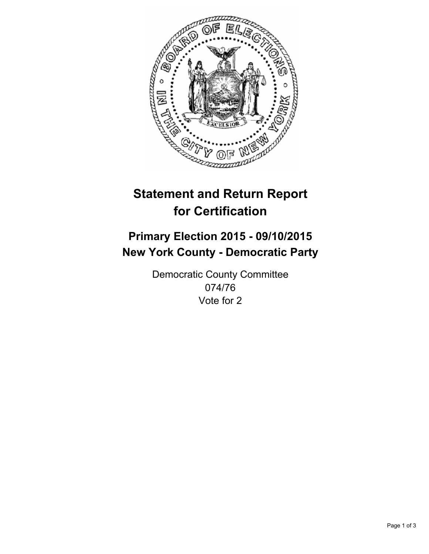

# **Statement and Return Report for Certification**

## **Primary Election 2015 - 09/10/2015 New York County - Democratic Party**

Democratic County Committee 074/76 Vote for 2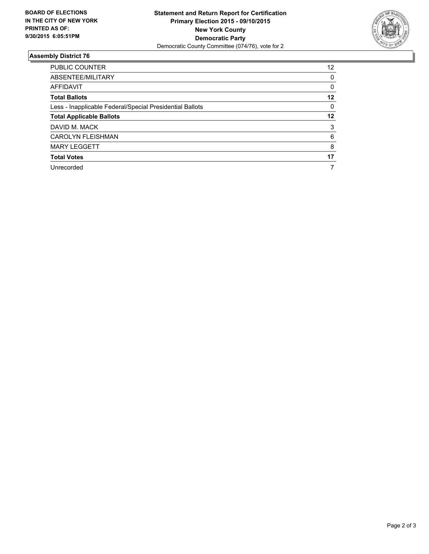

#### **Assembly District 76**

| <b>PUBLIC COUNTER</b>                                    | 12 |
|----------------------------------------------------------|----|
| ABSENTEE/MILITARY                                        | 0  |
| AFFIDAVIT                                                | 0  |
| <b>Total Ballots</b>                                     | 12 |
| Less - Inapplicable Federal/Special Presidential Ballots | 0  |
| <b>Total Applicable Ballots</b>                          | 12 |
| DAVID M. MACK                                            | 3  |
| <b>CAROLYN FLEISHMAN</b>                                 | 6  |
| <b>MARY LEGGETT</b>                                      | 8  |
| <b>Total Votes</b>                                       | 17 |
| Unrecorded                                               |    |